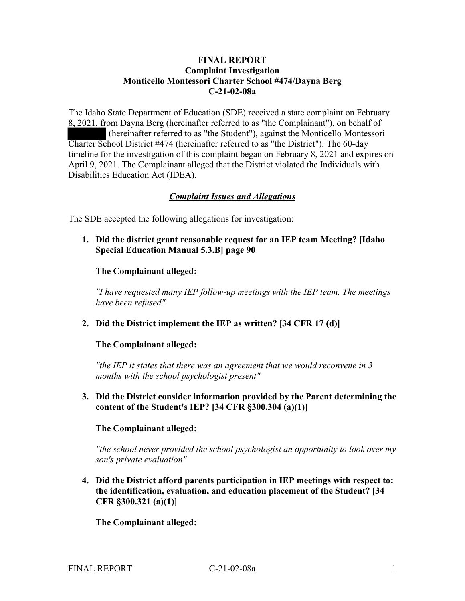#### **FINAL REPORT Complaint Investigation Monticello Montessori Charter School #474/Dayna Berg C-21-02-08a**

The Idaho State Department of Education (SDE) received a state complaint on February 8, 2021, from Dayna Berg (hereinafter referred to as "the Complainant"), on behalf of (hereinafter referred to as "the Student"), against the Monticello Montessori Charter School District #474 (hereinafter referred to as "the District"). The 60-day timeline for the investigation of this complaint began on February 8, 2021 and expires on April 9, 2021. The Complainant alleged that the District violated the Individuals with Disabilities Education Act (IDEA).

#### *Complaint Issues and Allegations*

The SDE accepted the following allegations for investigation:

**1. Did the district grant reasonable request for an IEP team Meeting? [Idaho Special Education Manual 5.3.B] page 90** 

#### **The Complainant alleged:**

*"I have requested many IEP follow-up meetings with the IEP team. The meetings have been refused"* 

**2. Did the District implement the IEP as written? [34 CFR 17 (d)]** 

#### **The Complainant alleged:**

*"the IEP it states that there was an agreement that we would reconvene in 3 months with the school psychologist present"* 

**3. Did the District consider information provided by the Parent determining the content of the Student's IEP? [34 CFR §300.304 (a)(1)]** 

#### **The Complainant alleged:**

*"the school never provided the school psychologist an opportunity to look over my son's private evaluation"* 

**4. Did the District afford parents participation in IEP meetings with respect to: the identification, evaluation, and education placement of the Student? [34 CFR §300.321 (a)(1)]** 

 **The Complainant alleged:**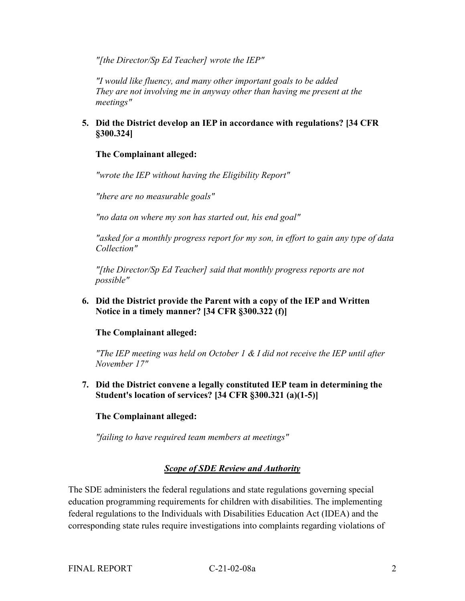*"[the Director/Sp Ed Teacher] wrote the IEP"*

*"I would like fluency, and many other important goals to be added They are not involving me in anyway other than having me present at the meetings"*

# **5. Did the District develop an IEP in accordance with regulations? [34 CFR §300.324]**

# **The Complainant alleged:**

*"wrote the IEP without having the Eligibility Report"*

*"there are no measurable goals"*

*"no data on where my son has started out, his end goal"*

*"asked for a monthly progress report for my son, in effort to gain any type of data Collection"*

*"[the Director/Sp Ed Teacher] said that monthly progress reports are not possible"*

**6. Did the District provide the Parent with a copy of the IEP and Written Notice in a timely manner? [34 CFR §300.322 (f)]**

**The Complainant alleged:**

*"The IEP meeting was held on October 1 & I did not receive the IEP until after November 17"*

**7. Did the District convene a legally constituted IEP team in determining the Student's location of services? [34 CFR §300.321 (a)(1-5)]**

**The Complainant alleged:**

*"failing to have required team members at meetings"*

# *Scope of SDE Review and Authority*

The SDE administers the federal regulations and state regulations governing special education programming requirements for children with disabilities. The implementing federal regulations to the Individuals with Disabilities Education Act (IDEA) and the corresponding state rules require investigations into complaints regarding violations of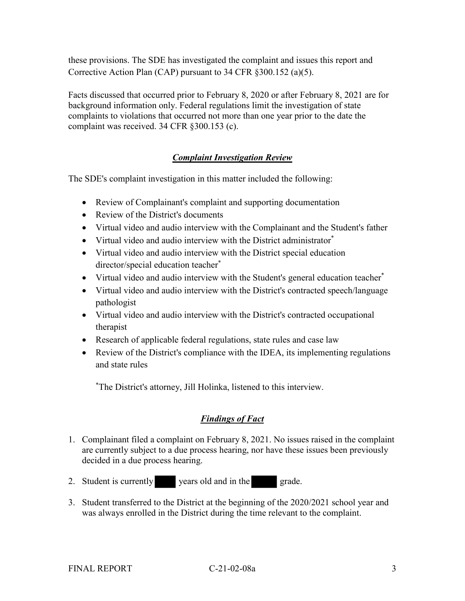these provisions. The SDE has investigated the complaint and issues this report and Corrective Action Plan (CAP) pursuant to 34 CFR §300.152 (a)(5).

Facts discussed that occurred prior to February 8, 2020 or after February 8, 2021 are for background information only. Federal regulations limit the investigation of state complaints to violations that occurred not more than one year prior to the date the complaint was received. 34 CFR §300.153 (c).

# *Complaint Investigation Review*

The SDE's complaint investigation in this matter included the following:

- Review of Complainant's complaint and supporting documentation
- Review of the District's documents
- Virtual video and audio interview with the Complainant and the Student's father
- Virtual video and audio interview with the District administrator<sup>\*</sup>
- Virtual video and audio interview with the District special education director/special education teacher\*
- Virtual video and audio interview with the Student's general education teacher<sup>\*</sup>
- Virtual video and audio interview with the District's contracted speech/language pathologist
- Virtual video and audio interview with the District's contracted occupational therapist
- Research of applicable federal regulations, state rules and case law
- Review of the District's compliance with the IDEA, its implementing regulations and state rules

\* The District's attorney, Jill Holinka, listened to this interview.

# *Findings of Fact*

- 1. Complainant filed a complaint on February 8, 2021. No issues raised in the complaint are currently subject to a due process hearing, nor have these issues been previously decided in a due process hearing.
- 2. Student is currently years old and in the grade.
- 3. Student transferred to the District at the beginning of the 2020/2021 school year and was always enrolled in the District during the time relevant to the complaint.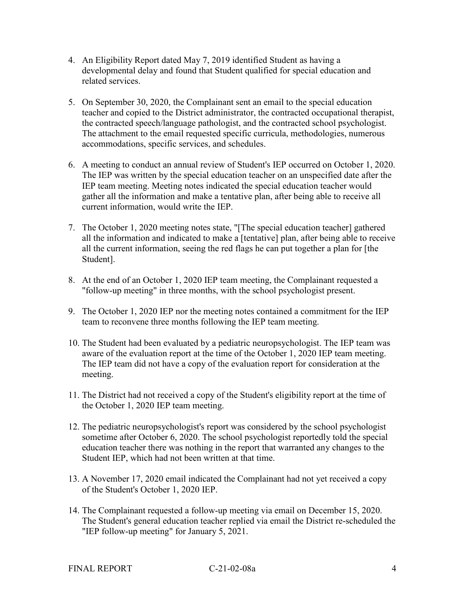- 4. An Eligibility Report dated May 7, 2019 identified Student as having a developmental delay and found that Student qualified for special education and related services.
- 5. On September 30, 2020, the Complainant sent an email to the special education teacher and copied to the District administrator, the contracted occupational therapist, the contracted speech/language pathologist, and the contracted school psychologist. The attachment to the email requested specific curricula, methodologies, numerous accommodations, specific services, and schedules.
- 6. A meeting to conduct an annual review of Student's IEP occurred on October 1, 2020. The IEP was written by the special education teacher on an unspecified date after the IEP team meeting. Meeting notes indicated the special education teacher would gather all the information and make a tentative plan, after being able to receive all current information, would write the IEP.
- 7. The October 1, 2020 meeting notes state, "[The special education teacher] gathered all the information and indicated to make a [tentative] plan, after being able to receive all the current information, seeing the red flags he can put together a plan for [the Student].
- 8. At the end of an October 1, 2020 IEP team meeting, the Complainant requested a "follow-up meeting" in three months, with the school psychologist present.
- 9. The October 1, 2020 IEP nor the meeting notes contained a commitment for the IEP team to reconvene three months following the IEP team meeting.
- 10. The Student had been evaluated by a pediatric neuropsychologist. The IEP team was aware of the evaluation report at the time of the October 1, 2020 IEP team meeting. The IEP team did not have a copy of the evaluation report for consideration at the meeting.
- 11. The District had not received a copy of the Student's eligibility report at the time of the October 1, 2020 IEP team meeting.
- 12. The pediatric neuropsychologist's report was considered by the school psychologist sometime after October 6, 2020. The school psychologist reportedly told the special education teacher there was nothing in the report that warranted any changes to the Student IEP, which had not been written at that time.
- 13. A November 17, 2020 email indicated the Complainant had not yet received a copy of the Student's October 1, 2020 IEP.
- 14. The Complainant requested a follow-up meeting via email on December 15, 2020. The Student's general education teacher replied via email the District re-scheduled the "IEP follow-up meeting" for January 5, 2021.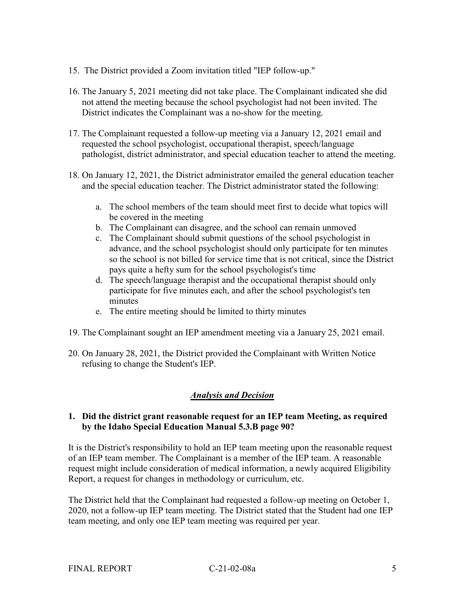- 15. The District provided a Zoom invitation titled "IEP follow-up."
- 16. The January 5, 2021 meeting did not take place. The Complainant indicated she did not attend the meeting because the school psychologist had not been invited. The District indicates the Complainant was a no-show for the meeting.
- 17. The Complainant requested a follow-up meeting via a January 12, 2021 email and requested the school psychologist, occupational therapist, speech/language pathologist, district administrator, and special education teacher to attend the meeting.
- 18. On January 12, 2021, the District administrator emailed the general education teacher and the special education teacher. The District administrator stated the following:
	- a. The school members of the team should meet first to decide what topics will be covered in the meeting
	- b. The Complainant can disagree, and the school can remain unmoved
	- c. The Complainant should submit questions of the school psychologist in advance, and the school psychologist should only participate for ten minutes so the school is not billed for service time that is not critical, since the District pays quite a hefty sum for the school psychologist's time
	- d. The speech/language therapist and the occupational therapist should only participate for five minutes each, and after the school psychologist's ten minutes
	- e. The entire meeting should be limited to thirty minutes
- 19. The Complainant sought an IEP amendment meeting via a January 25, 2021 email.
- 20. On January 28, 2021, the District provided the Complainant with Written Notice refusing to change the Student's IEP.

# *Analysis and Decision*

#### **1. Did the district grant reasonable request for an IEP team Meeting, as required by the Idaho Special Education Manual 5.3.B page 90?**

It is the District's responsibility to hold an IEP team meeting upon the reasonable request of an IEP team member. The Complainant is a member of the IEP team. A reasonable request might include consideration of medical information, a newly acquired Eligibility Report, a request for changes in methodology or curriculum, etc.

The District held that the Complainant had requested a follow-up meeting on October 1, 2020, not a follow-up IEP team meeting. The District stated that the Student had one IEP team meeting, and only one IEP team meeting was required per year.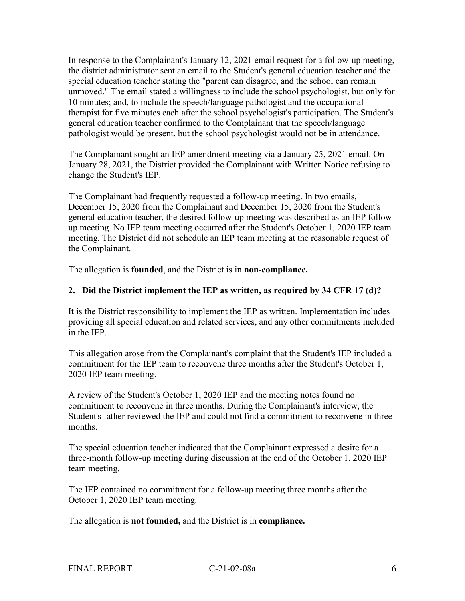In response to the Complainant's January 12, 2021 email request for a follow-up meeting, the district administrator sent an email to the Student's general education teacher and the special education teacher stating the "parent can disagree, and the school can remain unmoved." The email stated a willingness to include the school psychologist, but only for 10 minutes; and, to include the speech/language pathologist and the occupational therapist for five minutes each after the school psychologist's participation. The Student's general education teacher confirmed to the Complainant that the speech/language pathologist would be present, but the school psychologist would not be in attendance.

The Complainant sought an IEP amendment meeting via a January 25, 2021 email. On January 28, 2021, the District provided the Complainant with Written Notice refusing to change the Student's IEP.

The Complainant had frequently requested a follow-up meeting. In two emails, December 15, 2020 from the Complainant and December 15, 2020 from the Student's general education teacher, the desired follow-up meeting was described as an IEP followup meeting. No IEP team meeting occurred after the Student's October 1, 2020 IEP team meeting. The District did not schedule an IEP team meeting at the reasonable request of the Complainant.

The allegation is **founded**, and the District is in **non-compliance.**

#### **2. Did the District implement the IEP as written, as required by 34 CFR 17 (d)?**

It is the District responsibility to implement the IEP as written. Implementation includes providing all special education and related services, and any other commitments included in the IEP.

This allegation arose from the Complainant's complaint that the Student's IEP included a commitment for the IEP team to reconvene three months after the Student's October 1, 2020 IEP team meeting.

A review of the Student's October 1, 2020 IEP and the meeting notes found no commitment to reconvene in three months. During the Complainant's interview, the Student's father reviewed the IEP and could not find a commitment to reconvene in three months.

The special education teacher indicated that the Complainant expressed a desire for a three-month follow-up meeting during discussion at the end of the October 1, 2020 IEP team meeting.

The IEP contained no commitment for a follow-up meeting three months after the October 1, 2020 IEP team meeting.

The allegation is **not founded,** and the District is in **compliance.**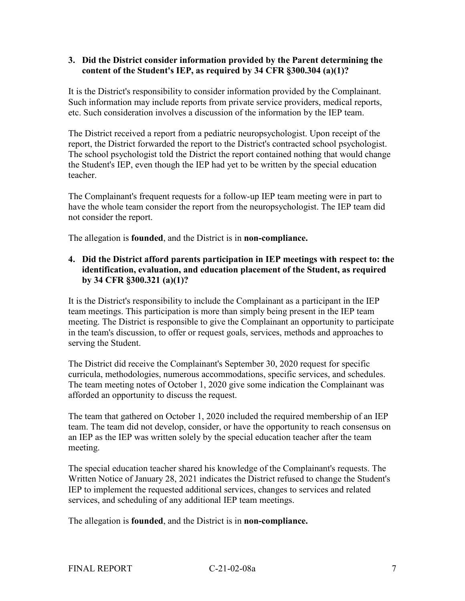#### **3. Did the District consider information provided by the Parent determining the content of the Student's IEP, as required by 34 CFR §300.304 (a)(1)?**

It is the District's responsibility to consider information provided by the Complainant. Such information may include reports from private service providers, medical reports, etc. Such consideration involves a discussion of the information by the IEP team.

The District received a report from a pediatric neuropsychologist. Upon receipt of the report, the District forwarded the report to the District's contracted school psychologist. The school psychologist told the District the report contained nothing that would change the Student's IEP, even though the IEP had yet to be written by the special education teacher.

The Complainant's frequent requests for a follow-up IEP team meeting were in part to have the whole team consider the report from the neuropsychologist. The IEP team did not consider the report.

The allegation is **founded**, and the District is in **non-compliance.**

# **4. Did the District afford parents participation in IEP meetings with respect to: the identification, evaluation, and education placement of the Student, as required by 34 CFR §300.321 (a)(1)?**

It is the District's responsibility to include the Complainant as a participant in the IEP team meetings. This participation is more than simply being present in the IEP team meeting. The District is responsible to give the Complainant an opportunity to participate in the team's discussion, to offer or request goals, services, methods and approaches to serving the Student.

The District did receive the Complainant's September 30, 2020 request for specific curricula, methodologies, numerous accommodations, specific services, and schedules. The team meeting notes of October 1, 2020 give some indication the Complainant was afforded an opportunity to discuss the request.

The team that gathered on October 1, 2020 included the required membership of an IEP team. The team did not develop, consider, or have the opportunity to reach consensus on an IEP as the IEP was written solely by the special education teacher after the team meeting.

The special education teacher shared his knowledge of the Complainant's requests. The Written Notice of January 28, 2021 indicates the District refused to change the Student's IEP to implement the requested additional services, changes to services and related services, and scheduling of any additional IEP team meetings.

The allegation is **founded**, and the District is in **non-compliance.**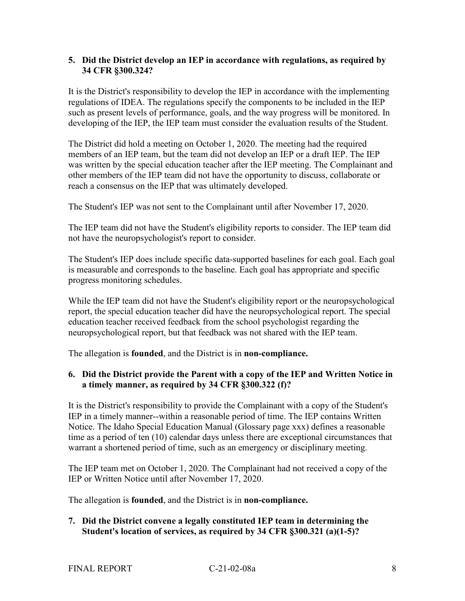#### **5. Did the District develop an IEP in accordance with regulations, as required by 34 CFR §300.324?**

It is the District's responsibility to develop the IEP in accordance with the implementing regulations of IDEA. The regulations specify the components to be included in the IEP such as present levels of performance, goals, and the way progress will be monitored. In developing of the IEP, the IEP team must consider the evaluation results of the Student.

The District did hold a meeting on October 1, 2020. The meeting had the required members of an IEP team, but the team did not develop an IEP or a draft IEP. The IEP was written by the special education teacher after the IEP meeting. The Complainant and other members of the IEP team did not have the opportunity to discuss, collaborate or reach a consensus on the IEP that was ultimately developed.

The Student's IEP was not sent to the Complainant until after November 17, 2020.

The IEP team did not have the Student's eligibility reports to consider. The IEP team did not have the neuropsychologist's report to consider.

The Student's IEP does include specific data-supported baselines for each goal. Each goal is measurable and corresponds to the baseline. Each goal has appropriate and specific progress monitoring schedules.

While the IEP team did not have the Student's eligibility report or the neuropsychological report, the special education teacher did have the neuropsychological report. The special education teacher received feedback from the school psychologist regarding the neuropsychological report, but that feedback was not shared with the IEP team.

The allegation is **founded**, and the District is in **non-compliance.**

# **6. Did the District provide the Parent with a copy of the IEP and Written Notice in a timely manner, as required by 34 CFR §300.322 (f)?**

It is the District's responsibility to provide the Complainant with a copy of the Student's IEP in a timely manner--within a reasonable period of time. The IEP contains Written Notice. The Idaho Special Education Manual (Glossary page xxx) defines a reasonable time as a period of ten (10) calendar days unless there are exceptional circumstances that warrant a shortened period of time, such as an emergency or disciplinary meeting.

The IEP team met on October 1, 2020. The Complainant had not received a copy of the IEP or Written Notice until after November 17, 2020.

The allegation is **founded**, and the District is in **non-compliance.**

# **7. Did the District convene a legally constituted IEP team in determining the Student's location of services, as required by 34 CFR §300.321 (a)(1-5)?**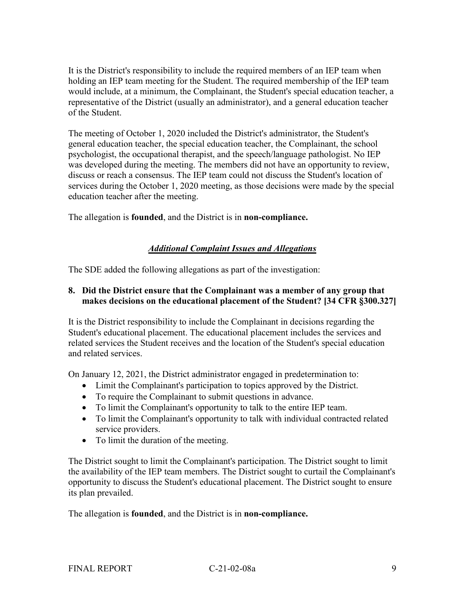It is the District's responsibility to include the required members of an IEP team when holding an IEP team meeting for the Student. The required membership of the IEP team would include, at a minimum, the Complainant, the Student's special education teacher, a representative of the District (usually an administrator), and a general education teacher of the Student.

The meeting of October 1, 2020 included the District's administrator, the Student's general education teacher, the special education teacher, the Complainant, the school psychologist, the occupational therapist, and the speech/language pathologist. No IEP was developed during the meeting. The members did not have an opportunity to review, discuss or reach a consensus. The IEP team could not discuss the Student's location of services during the October 1, 2020 meeting, as those decisions were made by the special education teacher after the meeting.

The allegation is **founded**, and the District is in **non-compliance.**

# *Additional Complaint Issues and Allegations*

The SDE added the following allegations as part of the investigation:

#### **8. Did the District ensure that the Complainant was a member of any group that makes decisions on the educational placement of the Student? [34 CFR §300.327]**

It is the District responsibility to include the Complainant in decisions regarding the Student's educational placement. The educational placement includes the services and related services the Student receives and the location of the Student's special education and related services.

On January 12, 2021, the District administrator engaged in predetermination to:

- Limit the Complainant's participation to topics approved by the District.
- To require the Complainant to submit questions in advance.
- To limit the Complainant's opportunity to talk to the entire IEP team.
- To limit the Complainant's opportunity to talk with individual contracted related service providers.
- To limit the duration of the meeting.

The District sought to limit the Complainant's participation. The District sought to limit the availability of the IEP team members. The District sought to curtail the Complainant's opportunity to discuss the Student's educational placement. The District sought to ensure its plan prevailed.

The allegation is **founded**, and the District is in **non-compliance.**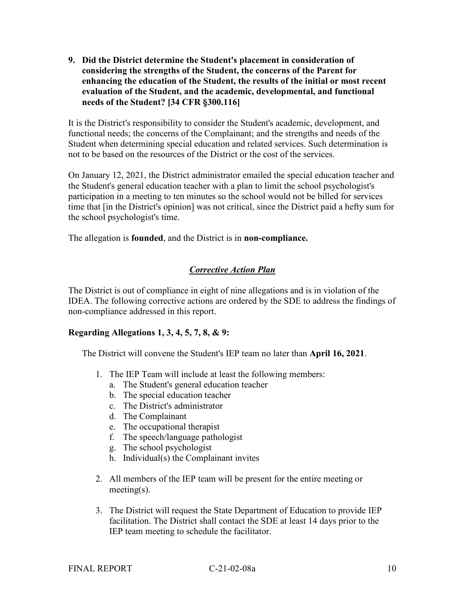**9. Did the District determine the Student's placement in consideration of considering the strengths of the Student, the concerns of the Parent for enhancing the education of the Student, the results of the initial or most recent evaluation of the Student, and the academic, developmental, and functional needs of the Student? [34 CFR §300.116]**

It is the District's responsibility to consider the Student's academic, development, and functional needs; the concerns of the Complainant; and the strengths and needs of the Student when determining special education and related services. Such determination is not to be based on the resources of the District or the cost of the services.

On January 12, 2021, the District administrator emailed the special education teacher and the Student's general education teacher with a plan to limit the school psychologist's participation in a meeting to ten minutes so the school would not be billed for services time that [in the District's opinion] was not critical, since the District paid a hefty sum for the school psychologist's time.

The allegation is **founded**, and the District is in **non-compliance.**

# *Corrective Action Plan*

The District is out of compliance in eight of nine allegations and is in violation of the IDEA. The following corrective actions are ordered by the SDE to address the findings of non-compliance addressed in this report.

# **Regarding Allegations 1, 3, 4, 5, 7, 8, & 9:**

The District will convene the Student's IEP team no later than **April 16, 2021**.

- 1. The IEP Team will include at least the following members:
	- a. The Student's general education teacher
	- b. The special education teacher
	- c. The District's administrator
	- d. The Complainant
	- e. The occupational therapist
	- f. The speech/language pathologist
	- g. The school psychologist
	- h. Individual(s) the Complainant invites
- 2. All members of the IEP team will be present for the entire meeting or meeting(s).
- 3. The District will request the State Department of Education to provide IEP facilitation. The District shall contact the SDE at least 14 days prior to the IEP team meeting to schedule the facilitator.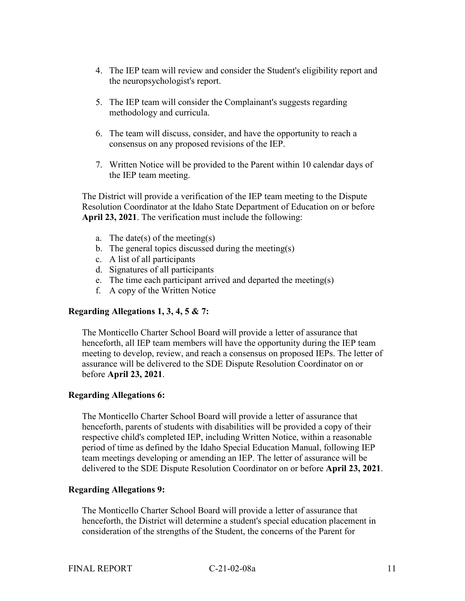- 4. The IEP team will review and consider the Student's eligibility report and the neuropsychologist's report.
- 5. The IEP team will consider the Complainant's suggests regarding methodology and curricula.
- 6. The team will discuss, consider, and have the opportunity to reach a consensus on any proposed revisions of the IEP.
- 7. Written Notice will be provided to the Parent within 10 calendar days of the IEP team meeting.

The District will provide a verification of the IEP team meeting to the Dispute Resolution Coordinator at the Idaho State Department of Education on or before **April 23, 2021**. The verification must include the following:

- a. The date(s) of the meeting(s)
- b. The general topics discussed during the meeting(s)
- c. A list of all participants
- d. Signatures of all participants
- e. The time each participant arrived and departed the meeting(s)
- f. A copy of the Written Notice

# **Regarding Allegations 1, 3, 4, 5 & 7:**

The Monticello Charter School Board will provide a letter of assurance that henceforth, all IEP team members will have the opportunity during the IEP team meeting to develop, review, and reach a consensus on proposed IEPs. The letter of assurance will be delivered to the SDE Dispute Resolution Coordinator on or before **April 23, 2021**.

#### **Regarding Allegations 6:**

The Monticello Charter School Board will provide a letter of assurance that henceforth, parents of students with disabilities will be provided a copy of their respective child's completed IEP, including Written Notice, within a reasonable period of time as defined by the Idaho Special Education Manual, following IEP team meetings developing or amending an IEP. The letter of assurance will be delivered to the SDE Dispute Resolution Coordinator on or before **April 23, 2021**.

#### **Regarding Allegations 9:**

The Monticello Charter School Board will provide a letter of assurance that henceforth, the District will determine a student's special education placement in consideration of the strengths of the Student, the concerns of the Parent for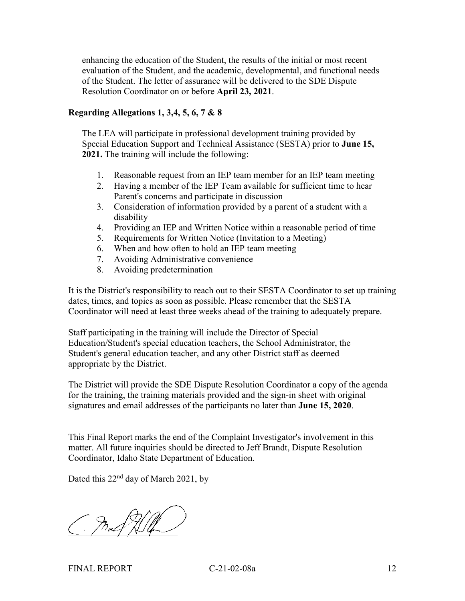enhancing the education of the Student, the results of the initial or most recent evaluation of the Student, and the academic, developmental, and functional needs of the Student. The letter of assurance will be delivered to the SDE Dispute Resolution Coordinator on or before **April 23, 2021**.

#### **Regarding Allegations 1, 3,4, 5, 6, 7 & 8**

The LEA will participate in professional development training provided by Special Education Support and Technical Assistance (SESTA) prior to **June 15, 2021.** The training will include the following:

- 1. Reasonable request from an IEP team member for an IEP team meeting
- 2. Having a member of the IEP Team available for sufficient time to hear Parent's concerns and participate in discussion
- 3. Consideration of information provided by a parent of a student with a disability
- 4. Providing an IEP and Written Notice within a reasonable period of time
- 5. Requirements for Written Notice (Invitation to a Meeting)
- 6. When and how often to hold an IEP team meeting
- 7. Avoiding Administrative convenience
- 8. Avoiding predetermination

It is the District's responsibility to reach out to their SESTA Coordinator to set up training dates, times, and topics as soon as possible. Please remember that the SESTA Coordinator will need at least three weeks ahead of the training to adequately prepare.

Staff participating in the training will include the Director of Special Education/Student's special education teachers, the School Administrator, the Student's general education teacher, and any other District staff as deemed appropriate by the District.

The District will provide the SDE Dispute Resolution Coordinator a copy of the agenda for the training, the training materials provided and the sign-in sheet with original signatures and email addresses of the participants no later than **June 15, 2020**.

This Final Report marks the end of the Complaint Investigator's involvement in this matter. All future inquiries should be directed to Jeff Brandt, Dispute Resolution Coordinator, Idaho State Department of Education.

Dated this 22<sup>nd</sup> day of March 2021, by

 $C \cdot \int \log f \wedge \log f$ 

FINAL REPORT C-21-02-08a 12